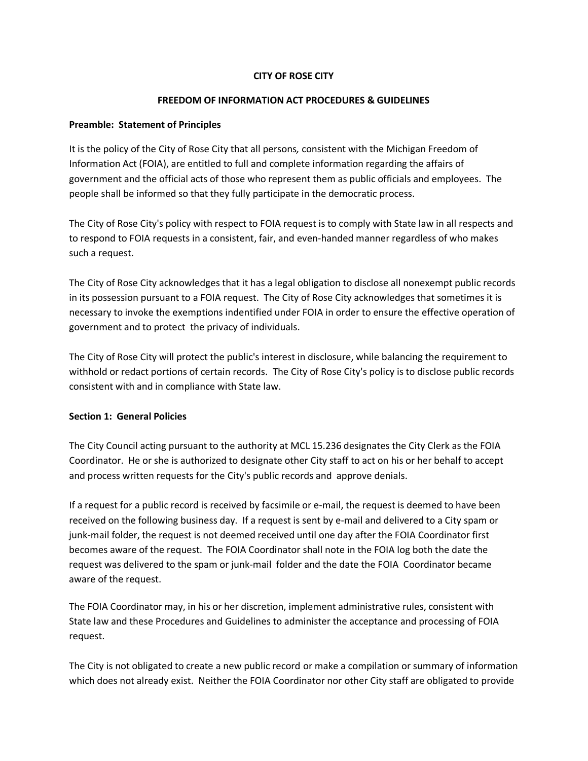## **CITY OF ROSE CITY**

#### **FREEDOM OF INFORMATION ACT PROCEDURES & GUIDELINES**

## **Preamble: Statement of Principles**

It is the policy of the City of Rose City that all persons*,* consistent with the Michigan Freedom of Information Act (FOIA), are entitled to full and complete information regarding the affairs of government and the official acts of those who represent them as public officials and employees. The people shall be informed so that they fully participate in the democratic process.

The City of Rose City's policy with respect to FOIA request is to comply with State law in all respects and to respond to FOIA requests in a consistent, fair, and even-handed manner regardless of who makes such a request.

The City of Rose City acknowledges that it has a legal obligation to disclose all nonexempt public records in its possession pursuant to a FOIA request. The City of Rose City acknowledges that sometimes it is necessary to invoke the exemptions indentified under FOIA in order to ensure the effective operation of government and to protect the privacy of individuals.

The City of Rose City will protect the public's interest in disclosure, while balancing the requirement to withhold or redact portions of certain records. The City of Rose City's policy is to disclose public records consistent with and in compliance with State law.

# **Section 1: General Policies**

The City Council acting pursuant to the authority at MCL 15.236 designates the City Clerk as the FOIA Coordinator. He or she is authorized to designate other City staff to act on his or her behalf to accept and process written requests for the City's public records and approve denials.

If a request for a public record is received by facsimile or e-mail, the request is deemed to have been received on the following business day. If a request is sent by e-mail and delivered to a City spam or junk-mail folder, the request is not deemed received until one day after the FOIA Coordinator first becomes aware of the request. The FOIA Coordinator shall note in the FOIA log both the date the request was delivered to the spam or junk-mail folder and the date the FOIA Coordinator became aware of the request.

The FOIA Coordinator may, in his or her discretion, implement administrative rules, consistent with State law and these Procedures and Guidelines to administer the acceptance and processing of FOIA request.

The City is not obligated to create a new public record or make a compilation or summary of information which does not already exist. Neither the FOIA Coordinator nor other City staff are obligated to provide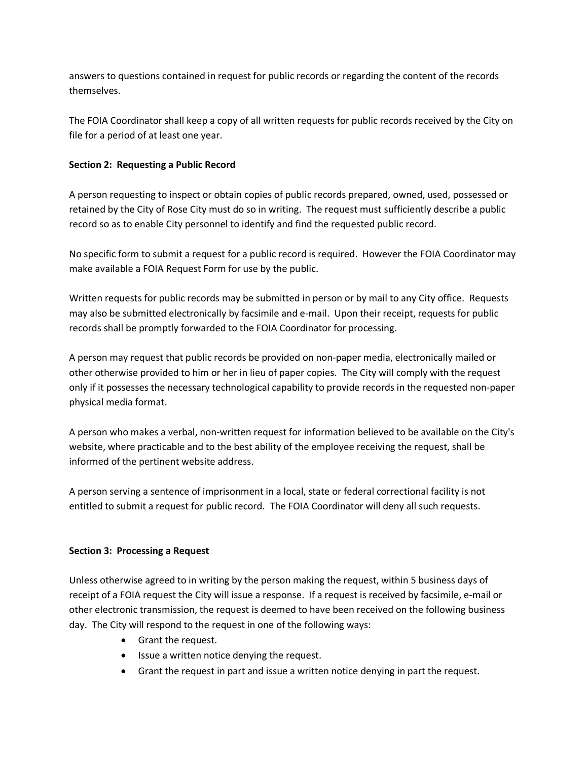answers to questions contained in request for public records or regarding the content of the records themselves.

The FOIA Coordinator shall keep a copy of all written requests for public records received by the City on file for a period of at least one year.

# **Section 2: Requesting a Public Record**

A person requesting to inspect or obtain copies of public records prepared, owned, used, possessed or retained by the City of Rose City must do so in writing. The request must sufficiently describe a public record so as to enable City personnel to identify and find the requested public record.

No specific form to submit a request for a public record is required. However the FOIA Coordinator may make available a FOIA Request Form for use by the public.

Written requests for public records may be submitted in person or by mail to any City office. Requests may also be submitted electronically by facsimile and e-mail. Upon their receipt, requests for public records shall be promptly forwarded to the FOIA Coordinator for processing.

A person may request that public records be provided on non-paper media, electronically mailed or other otherwise provided to him or her in lieu of paper copies. The City will comply with the request only if it possesses the necessary technological capability to provide records in the requested non-paper physical media format.

A person who makes a verbal, non-written request for information believed to be available on the City's website, where practicable and to the best ability of the employee receiving the request, shall be informed of the pertinent website address.

A person serving a sentence of imprisonment in a local, state or federal correctional facility is not entitled to submit a request for public record. The FOIA Coordinator will deny all such requests.

# **Section 3: Processing a Request**

Unless otherwise agreed to in writing by the person making the request, within 5 business days of receipt of a FOIA request the City will issue a response. If a request is received by facsimile, e-mail or other electronic transmission, the request is deemed to have been received on the following business day. The City will respond to the request in one of the following ways:

- Grant the request.
- Issue a written notice denying the request.
- Grant the request in part and issue a written notice denying in part the request.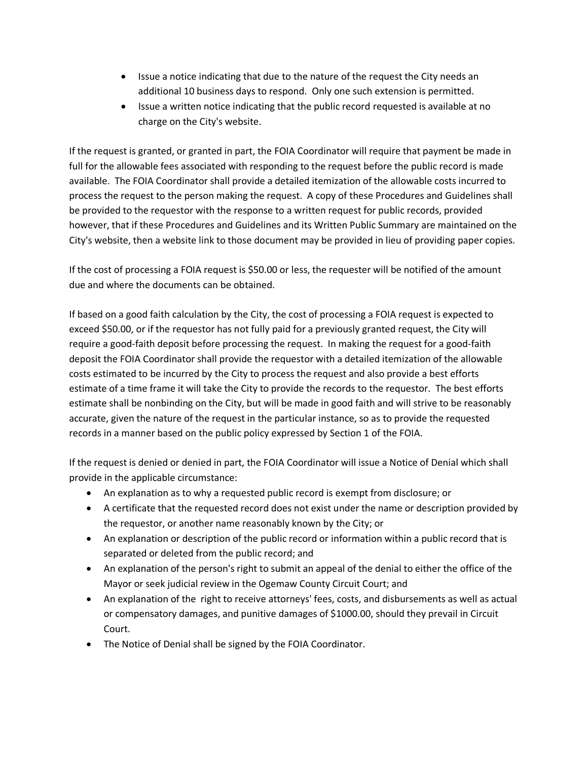- Issue a notice indicating that due to the nature of the request the City needs an additional 10 business days to respond. Only one such extension is permitted.
- Issue a written notice indicating that the public record requested is available at no charge on the City's website.

If the request is granted, or granted in part, the FOIA Coordinator will require that payment be made in full for the allowable fees associated with responding to the request before the public record is made available. The FOIA Coordinator shall provide a detailed itemization of the allowable costs incurred to process the request to the person making the request. A copy of these Procedures and Guidelines shall be provided to the requestor with the response to a written request for public records, provided however, that if these Procedures and Guidelines and its Written Public Summary are maintained on the City's website, then a website link to those document may be provided in lieu of providing paper copies.

If the cost of processing a FOIA request is \$50.00 or less, the requester will be notified of the amount due and where the documents can be obtained.

If based on a good faith calculation by the City, the cost of processing a FOIA request is expected to exceed \$50.00, or if the requestor has not fully paid for a previously granted request, the City will require a good-faith deposit before processing the request. In making the request for a good-faith deposit the FOIA Coordinator shall provide the requestor with a detailed itemization of the allowable costs estimated to be incurred by the City to process the request and also provide a best efforts estimate of a time frame it will take the City to provide the records to the requestor. The best efforts estimate shall be nonbinding on the City, but will be made in good faith and will strive to be reasonably accurate, given the nature of the request in the particular instance, so as to provide the requested records in a manner based on the public policy expressed by Section 1 of the FOIA.

If the request is denied or denied in part, the FOIA Coordinator will issue a Notice of Denial which shall provide in the applicable circumstance:

- An explanation as to why a requested public record is exempt from disclosure; or
- A certificate that the requested record does not exist under the name or description provided by the requestor, or another name reasonably known by the City; or
- An explanation or description of the public record or information within a public record that is separated or deleted from the public record; and
- An explanation of the person's right to submit an appeal of the denial to either the office of the Mayor or seek judicial review in the Ogemaw County Circuit Court; and
- An explanation of the right to receive attorneys' fees, costs, and disbursements as well as actual or compensatory damages, and punitive damages of \$1000.00, should they prevail in Circuit Court.
- The Notice of Denial shall be signed by the FOIA Coordinator.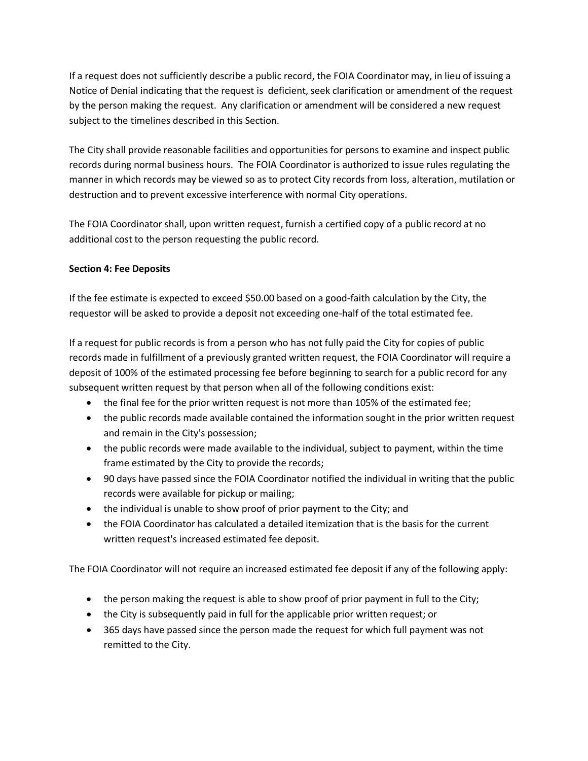If a request does not sufficiently describe a public record, the FOIA Coordinator may, in lieu of issuing a Notice of Denial indicating that the request is deficient, seek clarification or amendment of the request by the person making the request. Any clarification or amendment will be considered a new request subject to the timelines described in this Section.

The City shall provide reasonable facilities and opportunities for persons to examine and inspect public records during normal business hours. The FOIA Coordinator is authorized to issue rules regulating the manner in which records may be viewed so as to protect City records from loss, alteration, mutilation or destruction and to prevent excessive interference with normal City operations.

The FOIA Coordinator shall, upon written request, furnish a certified copy of a public record at no additional cost to the person requesting the public record.

# **Section 4: Fee Deposits**

If the fee estimate is expected to exceed \$50.00 based on a good-faith calculation by the City, the requestor will be asked to provide a deposit not exceeding one-half of the total estimated fee.

If a request for public records is from a person who has not fully paid the City for copies of public records made in fulfillment of a previously granted written request, the FOIA Coordinator will require a deposit of 100% of the estimated processing fee before beginning to search for a public record for any subsequent written request by that person when all of the following conditions exist:

- the final fee for the prior written request is not more than 105% of the estimated fee;
- the public records made available contained the information sought in the prior written request and remain in the City's possession;
- the public records were made available to the individual, subject to payment, within the time frame estimated by the City to provide the records;
- 90 days have passed since the FOIA Coordinator notified the individual in writing that the public records were available for pickup or mailing;
- the individual is unable to show proof of prior payment to the City; and
- the FOIA Coordinator has calculated a detailed itemization that is the basis for the current written request's increased estimated fee deposit.

The FOIA Coordinator will not require an increased estimated fee deposit if any of the following apply:

- the person making the request is able to show proof of prior payment in full to the City;
- the City is subsequently paid in full for the applicable prior written request; or
- 365 days have passed since the person made the request for which full payment was not remitted to the City.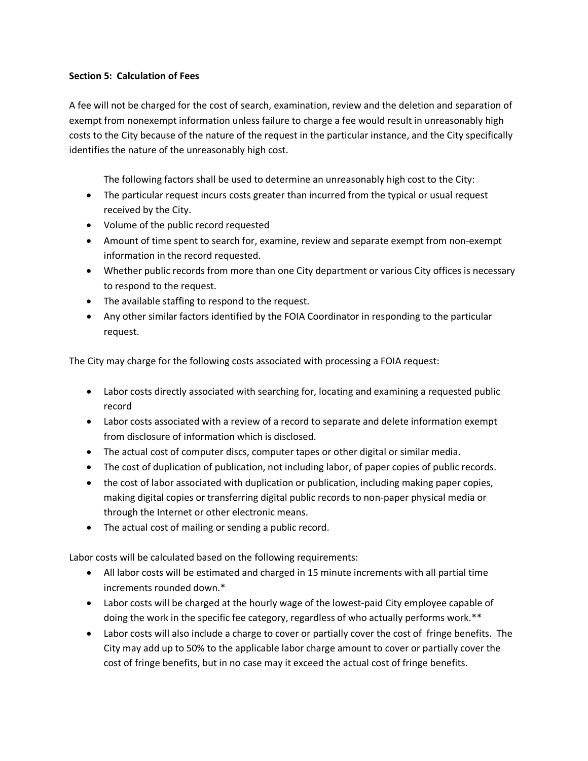## **Section 5: Calculation of Fees**

A fee will not be charged for the cost of search, examination, review and the deletion and separation of exempt from nonexempt information unless failure to charge a fee would result in unreasonably high costs to the City because of the nature of the request in the particular instance, and the City specifically identifies the nature of the unreasonably high cost.

The following factors shall be used to determine an unreasonably high cost to the City:

- The particular request incurs costs greater than incurred from the typical or usual request received by the City.
- Volume of the public record requested
- Amount of time spent to search for, examine, review and separate exempt from non-exempt information in the record requested.
- Whether public records from more than one City department or various City offices is necessary to respond to the request.
- The available staffing to respond to the request.
- Any other similar factors identified by the FOIA Coordinator in responding to the particular request.

The City may charge for the following costs associated with processing a FOIA request:

- Labor costs directly associated with searching for, locating and examining a requested public record
- Labor costs associated with a review of a record to separate and delete information exempt from disclosure of information which is disclosed.
- The actual cost of computer discs, computer tapes or other digital or similar media.
- The cost of duplication of publication, not including labor, of paper copies of public records.
- the cost of labor associated with duplication or publication, including making paper copies, making digital copies or transferring digital public records to non-paper physical media or through the Internet or other electronic means.
- The actual cost of mailing or sending a public record.

Labor costs will be calculated based on the following requirements:

- All labor costs will be estimated and charged in 15 minute increments with all partial time increments rounded down.\*
- Labor costs will be charged at the hourly wage of the lowest-paid City employee capable of doing the work in the specific fee category, regardless of who actually performs work.\*\*
- Labor costs will also include a charge to cover or partially cover the cost of fringe benefits. The City may add up to 50% to the applicable labor charge amount to cover or partially cover the cost of fringe benefits, but in no case may it exceed the actual cost of fringe benefits.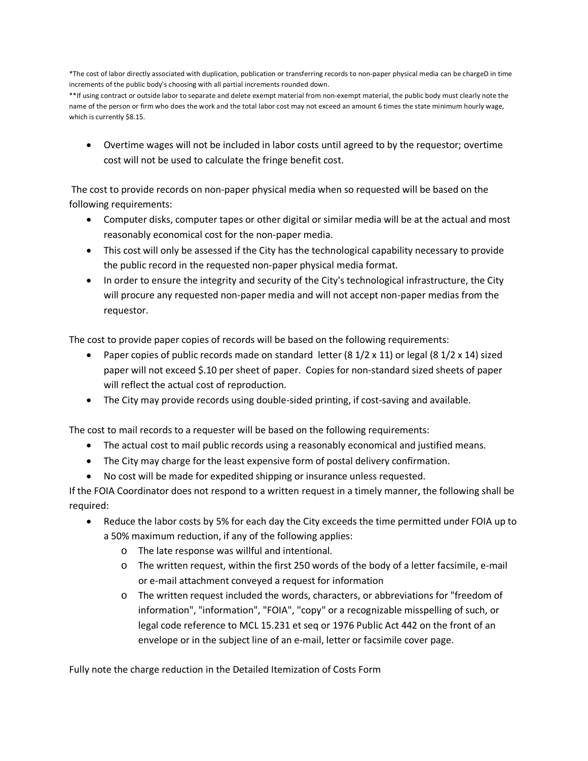\*The cost of labor directly associated with duplication, publication or transferring records to non-paper physical media can be chargeD in time increments of the public body's choosing with all partial increments rounded down.

\*\*If using contract or outside labor to separate and delete exempt material from non-exempt material, the public body must clearly note the name of the person or firm who does the work and the total labor cost may not exceed an amount 6 times the state minimum hourly wage, which is currently \$8.15.

• Overtime wages will not be included in labor costs until agreed to by the requestor; overtime cost will not be used to calculate the fringe benefit cost.

The cost to provide records on non-paper physical media when so requested will be based on the following requirements:

- Computer disks, computer tapes or other digital or similar media will be at the actual and most reasonably economical cost for the non-paper media.
- This cost will only be assessed if the City has the technological capability necessary to provide the public record in the requested non-paper physical media format.
- In order to ensure the integrity and security of the City's technological infrastructure, the City will procure any requested non-paper media and will not accept non-paper medias from the requestor.

The cost to provide paper copies of records will be based on the following requirements:

- Paper copies of public records made on standard letter  $(8\ 1/2 \times 11)$  or legal  $(8\ 1/2 \times 14)$  sized paper will not exceed \$.10 per sheet of paper. Copies for non-standard sized sheets of paper will reflect the actual cost of reproduction.
- The City may provide records using double-sided printing, if cost-saving and available.

The cost to mail records to a requester will be based on the following requirements:

- The actual cost to mail public records using a reasonably economical and justified means.
- The City may charge for the least expensive form of postal delivery confirmation.
- No cost will be made for expedited shipping or insurance unless requested.

If the FOIA Coordinator does not respond to a written request in a timely manner, the following shall be required:

- Reduce the labor costs by 5% for each day the City exceeds the time permitted under FOIA up to a 50% maximum reduction, if any of the following applies:
	- o The late response was willful and intentional.
	- o The written request, within the first 250 words of the body of a letter facsimile, e-mail or e-mail attachment conveyed a request for information
	- o The written request included the words, characters, or abbreviations for "freedom of information", "information", "FOIA", "copy" or a recognizable misspelling of such, or legal code reference to MCL 15.231 et seq or 1976 Public Act 442 on the front of an envelope or in the subject line of an e-mail, letter or facsimile cover page.

Fully note the charge reduction in the Detailed Itemization of Costs Form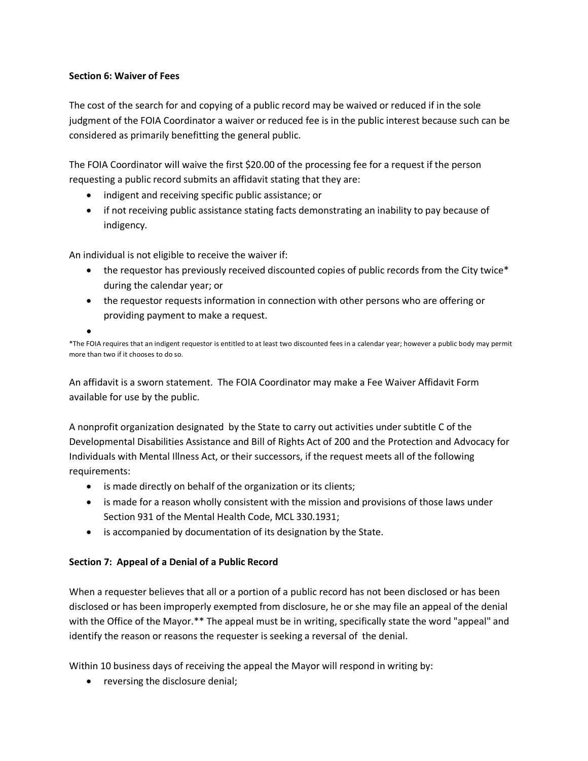## **Section 6: Waiver of Fees**

•

The cost of the search for and copying of a public record may be waived or reduced if in the sole judgment of the FOIA Coordinator a waiver or reduced fee is in the public interest because such can be considered as primarily benefitting the general public.

The FOIA Coordinator will waive the first \$20.00 of the processing fee for a request if the person requesting a public record submits an affidavit stating that they are:

- indigent and receiving specific public assistance; or
- if not receiving public assistance stating facts demonstrating an inability to pay because of indigency.

An individual is not eligible to receive the waiver if:

- the requestor has previously received discounted copies of public records from the City twice\* during the calendar year; or
- the requestor requests information in connection with other persons who are offering or providing payment to make a request.

\*The FOIA requires that an indigent requestor is entitled to at least two discounted fees in a calendar year; however a public body may permit more than two if it chooses to do so.

An affidavit is a sworn statement. The FOIA Coordinator may make a Fee Waiver Affidavit Form available for use by the public.

A nonprofit organization designated by the State to carry out activities under subtitle C of the Developmental Disabilities Assistance and Bill of Rights Act of 200 and the Protection and Advocacy for Individuals with Mental Illness Act, or their successors, if the request meets all of the following requirements:

- is made directly on behalf of the organization or its clients;
- is made for a reason wholly consistent with the mission and provisions of those laws under Section 931 of the Mental Health Code, MCL 330.1931;
- is accompanied by documentation of its designation by the State.

# **Section 7: Appeal of a Denial of a Public Record**

When a requester believes that all or a portion of a public record has not been disclosed or has been disclosed or has been improperly exempted from disclosure, he or she may file an appeal of the denial with the Office of the Mayor.\*\* The appeal must be in writing, specifically state the word "appeal" and identify the reason or reasons the requester is seeking a reversal of the denial.

Within 10 business days of receiving the appeal the Mayor will respond in writing by:

• reversing the disclosure denial;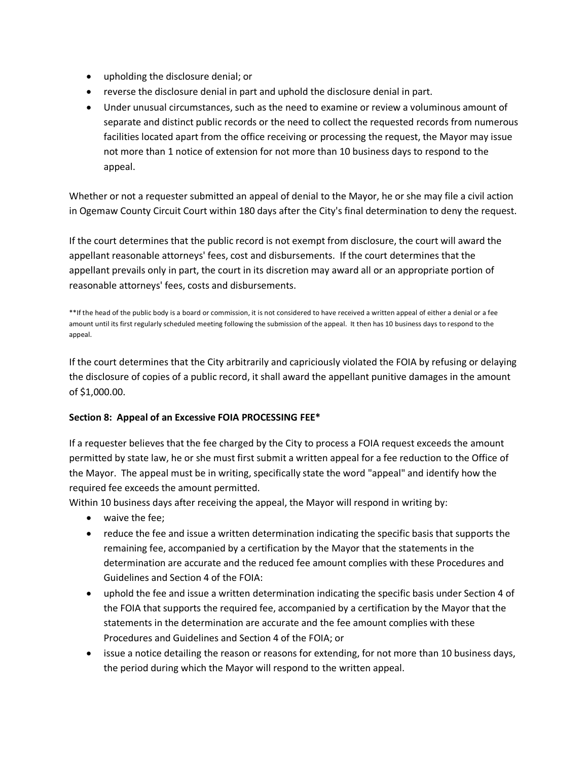- upholding the disclosure denial; or
- reverse the disclosure denial in part and uphold the disclosure denial in part.
- Under unusual circumstances, such as the need to examine or review a voluminous amount of separate and distinct public records or the need to collect the requested records from numerous facilities located apart from the office receiving or processing the request, the Mayor may issue not more than 1 notice of extension for not more than 10 business days to respond to the appeal.

Whether or not a requester submitted an appeal of denial to the Mayor, he or she may file a civil action in Ogemaw County Circuit Court within 180 days after the City's final determination to deny the request.

If the court determines that the public record is not exempt from disclosure, the court will award the appellant reasonable attorneys' fees, cost and disbursements. If the court determines that the appellant prevails only in part, the court in its discretion may award all or an appropriate portion of reasonable attorneys' fees, costs and disbursements.

\*\*If the head of the public body is a board or commission, it is not considered to have received a written appeal of either a denial or a fee amount until its first regularly scheduled meeting following the submission of the appeal. It then has 10 business days to respond to the appeal.

If the court determines that the City arbitrarily and capriciously violated the FOIA by refusing or delaying the disclosure of copies of a public record, it shall award the appellant punitive damages in the amount of \$1,000.00.

# **Section 8: Appeal of an Excessive FOIA PROCESSING FEE\***

If a requester believes that the fee charged by the City to process a FOIA request exceeds the amount permitted by state law, he or she must first submit a written appeal for a fee reduction to the Office of the Mayor. The appeal must be in writing, specifically state the word "appeal" and identify how the required fee exceeds the amount permitted.

Within 10 business days after receiving the appeal, the Mayor will respond in writing by:

- waive the fee;
- reduce the fee and issue a written determination indicating the specific basis that supports the remaining fee, accompanied by a certification by the Mayor that the statements in the determination are accurate and the reduced fee amount complies with these Procedures and Guidelines and Section 4 of the FOIA:
- uphold the fee and issue a written determination indicating the specific basis under Section 4 of the FOIA that supports the required fee, accompanied by a certification by the Mayor that the statements in the determination are accurate and the fee amount complies with these Procedures and Guidelines and Section 4 of the FOIA; or
- issue a notice detailing the reason or reasons for extending, for not more than 10 business days, the period during which the Mayor will respond to the written appeal.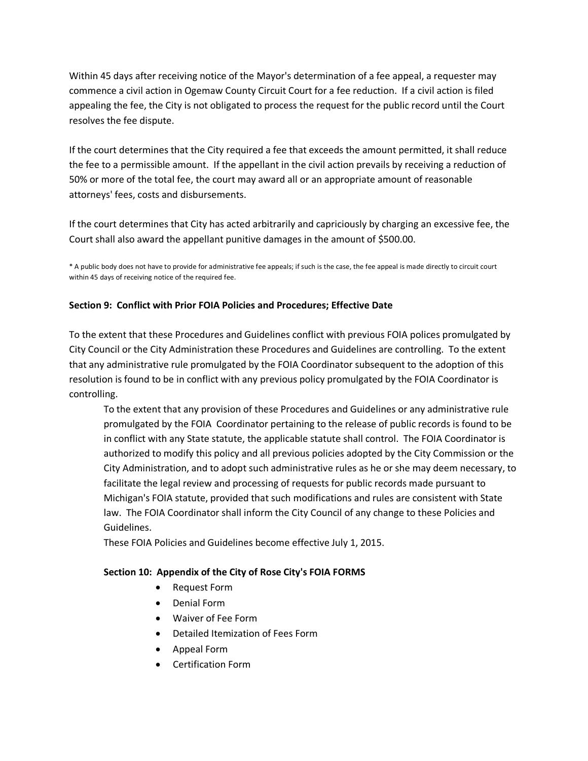Within 45 days after receiving notice of the Mayor's determination of a fee appeal, a requester may commence a civil action in Ogemaw County Circuit Court for a fee reduction. If a civil action is filed appealing the fee, the City is not obligated to process the request for the public record until the Court resolves the fee dispute.

If the court determines that the City required a fee that exceeds the amount permitted, it shall reduce the fee to a permissible amount. If the appellant in the civil action prevails by receiving a reduction of 50% or more of the total fee, the court may award all or an appropriate amount of reasonable attorneys' fees, costs and disbursements.

If the court determines that City has acted arbitrarily and capriciously by charging an excessive fee, the Court shall also award the appellant punitive damages in the amount of \$500.00.

\* A public body does not have to provide for administrative fee appeals; if such is the case, the fee appeal is made directly to circuit court within 45 days of receiving notice of the required fee.

#### **Section 9: Conflict with Prior FOIA Policies and Procedures; Effective Date**

To the extent that these Procedures and Guidelines conflict with previous FOIA polices promulgated by City Council or the City Administration these Procedures and Guidelines are controlling. To the extent that any administrative rule promulgated by the FOIA Coordinator subsequent to the adoption of this resolution is found to be in conflict with any previous policy promulgated by the FOIA Coordinator is controlling.

To the extent that any provision of these Procedures and Guidelines or any administrative rule promulgated by the FOIA Coordinator pertaining to the release of public records is found to be in conflict with any State statute, the applicable statute shall control. The FOIA Coordinator is authorized to modify this policy and all previous policies adopted by the City Commission or the City Administration, and to adopt such administrative rules as he or she may deem necessary, to facilitate the legal review and processing of requests for public records made pursuant to Michigan's FOIA statute, provided that such modifications and rules are consistent with State law. The FOIA Coordinator shall inform the City Council of any change to these Policies and Guidelines.

These FOIA Policies and Guidelines become effective July 1, 2015.

#### **Section 10: Appendix of the City of Rose City's FOIA FORMS**

- Request Form
- Denial Form
- Waiver of Fee Form
- Detailed Itemization of Fees Form
- Appeal Form
- Certification Form